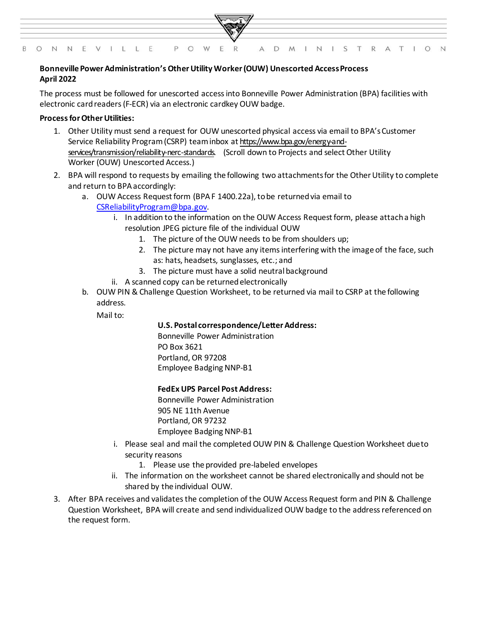

# **Bonneville Power Administration's Other Utility Worker (OUW) Unescorted Access Process April 2022**

The process must be followed for unescorted access into Bonneville Power Administration (BPA) facilities with electronic card readers (F-ECR) via an electronic cardkey OUW badge.

## **Process for Other Utilities:**

- 1. Other Utility must send a request for OUW unescorted physical access via email to BPA's Customer Service Reliability Program (CSRP) team inbox at [https://www.bpa.gov/energy-and](https://www.bpa.gov/energy-and-services/transmission/reliability-nerc-standards)[services/transmission/reliability-nerc-standards.](https://www.bpa.gov/energy-and-services/transmission/reliability-nerc-standards) (Scroll down to Projects and select Other Utility Worker (OUW) Unescorted Access.)
- 2. BPA will respond to requests by emailing the following two attachments for the Other Utility to complete and return to BPAaccordingly:
	- a. OUW Access Request form (BPA F 1400.22a), to be returned via email to [CSReliabilityProgram@bpa.gov.](mailto:CSReliabilityProgram@bpa.gov)
		- i. In addition to the information on the OUW Access Request form, please attach a high resolution JPEG picture file of the individual OUW
			- 1. The picture of the OUW needs to be from shoulders up;
			- 2. The picture may not have any items interfering with the image of the face, such as: hats, headsets, sunglasses, etc.; and
			- 3. The picture must have a solid neutralbackground
		- ii. A scanned copy can be returned electronically
	- b. OUW PIN & Challenge Question Worksheet, to be returned via mail to CSRP at the following address.

Mail to:

## **U.S. Postal correspondence/Letter Address:**

Bonneville Power Administration PO Box 3621 Portland, OR 97208 Employee Badging NNP-B1

## **FedEx UPS Parcel Post Address:**

Bonneville Power Administration 905 NE 11th Avenue Portland, OR 97232 Employee Badging NNP-B1

- i. Please seal and mail the completed OUW PIN & Challenge Question Worksheet dueto security reasons
	- 1. Please use the provided pre-labeled envelopes
- ii. The information on the worksheet cannot be shared electronically and should not be shared by the individual OUW.
- 3. After BPA receives and validates the completion of the OUW Access Request form and PIN & Challenge Question Worksheet, BPA will create and send individualized OUW badge to the address referenced on the request form.